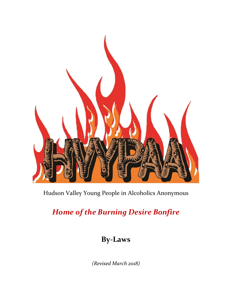

## Hudson Valley Young People in Alcoholics Anonymous

# *Home of the Burning Desire Bonfire*

## **By-Laws**

*(Revised March 2018)*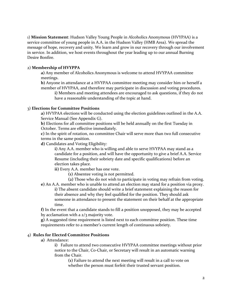1) **Mission Statement**: Hudson Valley Young People in Alcoholics Anonymous (HVYPAA) is a service committee of young people in A.A. in the Hudson Valley (HMB Area). We spread the message of hope, recovery and unity. We learn and grow in our recovery through our involvement in service. In addition, we host events throughout the year leading up to our annual Burning Desire Bonfire.

## 2) **Membership of HVYPPA**

**a)** Any member of Alcoholics Anonymous is welcome to attend HVYPAA committee meetings.

**b)** Anyone in attendance at a HVYPAA committee meeting may consider him or herself a member of HVYPAA, and therefore may participate in discussion and voting procedures. **i)** Members and meeting attendees are encouraged to ask questions, if they do not

have a reasonable understanding of the topic at hand.

## 3) **Elections for Committee Positions**

**a)** HVYPAA elections will be conducted using the election guidelines outlined in the A.A. Service Manual (See Appendix G).

**b)** Elections for all committee positions will be held annually on the first Tuesday in October. Terms are effective immediately.

**c)** In the spirit of rotation, no committee Chair will serve more than two full consecutive terms in the same position.

**d)** Candidates and Voting Eligibility:

**i)** Any A.A. member who is willing and able to serve HVYPAA may stand as a candidate for a position, and will have the opportunity to give a brief A.A. Service Resume (including their sobriety date and specific qualifications) before an election takes place.

**ii)** Every A.A. member has one vote.

- **(1)** Absentee voting is not permitted.
- **(2)** Those who do not wish to participate in voting may refrain from voting.

**e)** An A.A. member who is unable to attend an election may stand for a position via proxy. **i)** The absent candidate should write a brief statement explaining the reason for their absence and why they feel qualified for the position. They should ask

someone in attendance to present the statement on their behalf at the appropriate time.

**f)** In the event that a candidate stands to fill a position unopposed, they may be accepted by acclamation with a  $2/3$  majority vote.

**g)** A suggested time requirement is listed next to each committee position. These time requirements refer to a member's current length of continuous sobriety.

## 4) **Rules for Elected Committee Positions**

**a)** Attendance:

**i)** Failure to attend two consecutive HVYPAA committee meetings without prior notice to the Chair, Co-Chair, or Secretary will result in an automatic warning from the Chair.

**(1)** Failure to attend the next meeting will result in a call to vote on whether the person must forfeit their trusted servant position.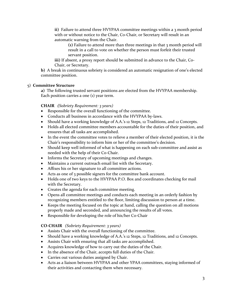**ii)** Failure to attend three HVYPAA committee meetings within a 3 month period with or without notice to the Chair, Co-Chair, or Secretary will result in an automatic warning from the Chair.

**(1)** Failure to attend more than three meetings in that 3 month period will result in a call to vote on whether the person must forfeit their trusted servant position.

**iii)** If absent, a proxy report should be submitted in advance to the Chair, Co-Chair, or Secretary.

**b)** A break in continuous sobriety is considered an automatic resignation of one's elected committee position.

## 5) **Committee Structure**

**a)** The following trusted servant positions are elected from the HVYPAA membership. Each position carries a one (1) year term.

## **CHAIR** *(Sobriety Requirement: 3 years)*

- Responsible for the overall functioning of the committee.
- Conducts all business in accordance with the HVYPAA by-laws.
- Should have a working knowledge of A.A.'s 12 Steps, 12 Traditions, and 12 Concepts.
- Holds all elected committee members accountable for the duties of their position, and ensures that all tasks are accomplished.
- In the event the committee votes to relieve a member of their elected position, it is the Chair's responsibility to inform him or her of the committee's decision.
- Should keep well informed of what is happening on each sub-committee and assist as needed with the help of their Co-Chair.
- Informs the Secretary of upcoming meetings and changes.
- Maintains a current outreach email list with the Secretary.
- Affixes his or her signature to all committee actions.
- Acts as one of 3 possible signers for the committee bank account.
- Holds one of two keys to the HVYPAA P.O. Box and coordinates checking for mail with the Secretary.
- Creates the agenda for each committee meeting.
- Opens all committee meetings and conducts each meeting in an orderly fashion by recognizing members entitled to the floor, limiting discussion to person at a time.
- Keeps the meeting focused on the topic at hand, calling the question on all motions properly made and seconded, and announcing the results of all votes.
- Responsible for developing the role of his/her Co-Chair

## **CO-CHAIR** *(Sobriety Requirement: 3 years)*

- Assists Chair with the overall functioning of the committee.
- Should have a working knowledge of A.A.'s 12 Steps, 12 Traditions, and 12 Concepts.
- Assists Chair with ensuring that all tasks are accomplished.
- Acquires knowledge of how to carry out the duties of the Chair.
- In the absence of the Chair, accepts full duties of the Chair.
- Carries out various duties assigned by Chair.
- Acts as a liaison between HVYPAA and other YPAA committees, staying informed of their activities and contacting them when necessary.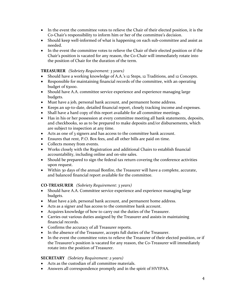- In the event the committee votes to relieve the Chair of their elected position, it is the Co-Chair's responsibility to inform him or her of the committee's decision.
- Should keep well-informed of what is happening on each sub-committee and assist as needed.
- In the event the committee votes to relieve the Chair of their elected position or if the Chair's position is vacated for any reason, the Co-Chair will immediately rotate into the position of Chair for the duration of the term.

## **TREASURER** *(Sobriety Requirement: 3 years)*

- Should have a working knowledge of A.A.'s 12 Steps, 12 Traditions, and 12 Concepts.
- Responsible for maintaining financial records of the committee, with an operating budget of \$3000.
- Should have A.A. committee service experience and experience managing large budgets.
- Must have a job, personal bank account, and permanent home address.
- Keeps an up-to-date, detailed financial report, closely tracking income and expenses.
- Shall have a hard copy of this report available for all committee meetings.
- Has in his or her possession at every committee meeting all bank statements, deposits, and checkbooks, so as to be prepared to make deposits and/or disbursements, which are subject to inspection at any time.
- Acts as one of 3 signers and has access to the committee bank account.
- Ensures that rent, P.O. Box fees, and all other bills are paid on time.
- Collects money from events.
- Works closely with the Registration and additional Chairs to establish financial accountability, including online and on-site sales.
- Should be prepared to sign the federal tax return covering the conference activities upon request.
- Within 30 days of the annual Bonfire, the Treasurer will have a complete, accurate, and balanced financial report available for the committee.

## **CO-TREASURER** *(Sobriety Requirement: 3 years)*

- Should have A.A. Committee service experience and experience managing large budgets.
- Must have a job, personal bank account, and permanent home address.
- Acts as a signer and has access to the committee bank account.
- Acquires knowledge of how to carry out the duties of the Treasurer.
- Carries out various duties assigned by the Treasurer and assists in maintaining financial records.
- Confirms the accuracy of all Treasurer reports.
- In the absence of the Treasurer, accepts full duties of the Treasurer.
- In the event the committee votes to relieve the Treasurer of their elected position, or if the Treasurer's position is vacated for any reason, the Co-Treasurer will immediately rotate into the position of Treasurer.

## **SECRETARY** *(Sobriety Requirement: 2 years)*

- Acts as the custodian of all committee materials.
- Answers all correspondence promptly and in the spirit of HVYPAA.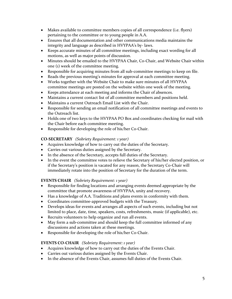- Makes available to committee members copies of all correspondence (i.e. flyers) pertaining to the committee or to young people in A.A.
- Ensures that all documentation and other communications media maintains the integrity and language as described in HVYPAA's by- laws.
- Keeps accurate minutes of all committee meetings, including exact wording for all motions, as well as major points of discussion.
- Minutes should be emailed to the HVYPAA Chair, Co-Chair, and Website Chair within one (1) week of the committee meeting.
- Responsible for acquiring minutes from all sub-committee meetings to keep on file.
- Reads the previous meeting's minutes for approval at each committee meeting.
- Works together with the Website Chair to make sure minutes of all HVYPAA committee meetings are posted on the website within one week of the meeting.
- Keeps attendance at each meeting and informs the Chair of absences.
- Maintains a current contact list of all committee members and positions held.
- Maintains a current Outreach Email List with the Chair.
- Responsible for sending an email notification of all committee meetings and events to the Outreach list.
- Holds one of two keys to the HVYPAA PO Box and coordinates checking for mail with the Chair before each committee meeting.
- Responsible for developing the role of his/her Co-Chair.

## **CO-SECRETARY** *(Sobriety Requirement: 1 year)*

- Acquires knowledge of how to carry out the duties of the Secretary.
- Carries out various duties assigned by the Secretary.
- In the absence of the Secretary, accepts full duties of the Secretary.
- In the event the committee votes to relieve the Secretary of his/her elected position, or if the Secretary's position is vacated for any reason, the Secretary Co-Chair will immediately rotate into the position of Secretary for the duration of the term.

## **EVENTS CHAIR** *(Sobriety Requirement: 1 year)*

- Responsible for finding locations and arranging events deemed appropriate by the committee that promote awareness of HVYPAA, unity and recovery.
- Has a knowledge of A.A. Traditions and plans events in conformity with them.
- Coordinates committee-approved budgets with the Treasury.
- Develops ideas for events and arranges all aspects of such events, including but not limited to place, date, time, speakers, costs, refreshments, music (if applicable), etc.
- Recruits volunteers to help organize and run all events.
- May form a sub-committee and should keep the full committee informed of any discussions and actions taken at these meetings.
- Responsible for developing the role of his/her Co-Chair.

## **EVENTS CO-CHAIR** *(Sobriety Requirement: 1 year)*

- Acquires knowledge of how to carry out the duties of the Events Chair.
- Carries out various duties assigned by the Events Chair.
- In the absence of the Events Chair, assumes full duties of the Events Chair.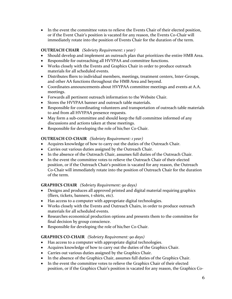• In the event the committee votes to relieve the Events Chair of their elected position, or if the Event Chair's position is vacated for any reason, the Events Co-Chair will immediately rotate into the position of Events Chair for the duration of the term.

## **OUTREACH CHAIR** *(Sobriety Requirement: 1 year)*

- Should develop and implement an outreach plan that prioritizes the entire HMB Area.
- Responsible for outreaching all HVYPAA and committee functions.
- Works closely with the Events and Graphics Chair in order to produce outreach materials for all scheduled events.
- Distributes fliers to individual members, meetings, treatment centers, Inter-Groups, and other AA functions throughout the HMB Area and beyond.
- Coordinates announcements about HVYPAA committee meetings and events at A.A. meetings.
- Forwards all pertinent outreach information to the Website Chair.
- Stores the HVYPAA banner and outreach table materials.
- Responsible for coordinating volunteers and transportation of outreach table materials to and from all HVYPAA presence requests.
- May form a sub-committee and should keep the full committee informed of any discussions and actions taken at these meetings.
- Responsible for developing the role of his/her Co-Chair.

## **OUTREACH CO-CHAIR** *(Sobriety Requirement: 1 year)*

- Acquires knowledge of how to carry out the duties of the Outreach Chair.
- Carries out various duties assigned by the Outreach Chair.
- In the absence of the Outreach Chair, assumes full duties of the Outreach Chair.
- In the event the committee votes to relieve the Outreach Chair of their elected position, or if the Outreach Chair's position is vacated for any reason, the Outreach Co-Chair will immediately rotate into the position of Outreach Chair for the duration of the term.

## **GRAPHICS CHAIR** *(Sobriety Requirement: 90 days)*

- Designs and produces all approved printed and digital material requiring graphics (fliers, tickets, banners, t-shirts, etc).
- Has access to a computer with appropriate digital technologies.
- Works closely with the Events and Outreach Chairs, in order to produce outreach materials for all scheduled events.
- Researches economical production options and presents them to the committee for final decision by group conscience.
- Responsible for developing the role of his/her Co-Chair.

## **GRAPHICS CO-CHAIR** *(Sobriety Requirement: 90 days)*

- Has access to a computer with appropriate digital technologies.
- Acquires knowledge of how to carry out the duties of the Graphics Chair.
- Carries out various duties assigned by the Graphics Chair.
- In the absence of the Graphics Chair, assumes full duties of the Graphics Chair.
- In the event the committee votes to relieve the Graphics Chair of their elected position, or if the Graphics Chair's position is vacated for any reason, the Graphics Co-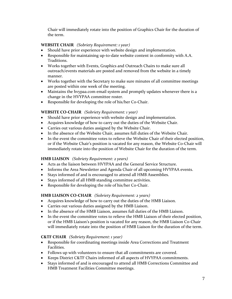Chair will immediately rotate into the position of Graphics Chair for the duration of the term.

## **WEBSITE CHAIR** *(Sobriety Requirement: 1 year)*

- Should have prior experience with website design and implementation.
- Responsible for maintaining up-to-date website content in conformity with A.A. Traditions.
- Works together with Events, Graphics and Outreach Chairs to make sure all outreach/events materials are posted and removed from the website in a timely manner.
- Works together with the Secretary to make sure minutes of all committee meetings are posted within one week of the meeting.
- Maintains the hvypaa.com email system and promptly updates whenever there is a change in the HVYPAA committee roster.
- Responsible for developing the role of his/her Co-Chair.

## **WEBSITE CO-CHAIR** *(Sobriety Requirement: 1 year)*

- Should have prior experience with website design and implementation.
- Acquires knowledge of how to carry out the duties of the Website Chair.
- Carries out various duties assigned by the Website Chair.
- In the absence of the Website Chair, assumes full duties of the Website Chair.
- In the event the committee votes to relieve the Website Chair of their elected position, or if the Website Chair's position is vacated for any reason, the Website Co-Chair will immediately rotate into the position of Website Chair for the duration of the term.

## **HMB LIAISON** *(Sobriety Requirement: 2 years)*

- Acts as the liaison between HVYPAA and the General Service Structure.
- Informs the Area Newsletter and Agenda Chair of all upcoming HVYPAA events.
- Stays informed of and is encouraged to attend all HMB Assemblies.
- Stays informed of all HMB standing committee activities.
- Responsible for developing the role of his/her Co-Chair.

## **HMB LIAISON CO-CHAIR** *(Sobriety Requirement: 2 years)*

- Acquires knowledge of how to carry out the duties of the HMB Liaison.
- Carries out various duties assigned by the HMB Liaison.
- In the absence of the HMB Liaison, assumes full duties of the HMB Liaison.
- In the event the committee votes to relieve the HMB Liaison of their elected position, or if the HMB Liaison's position is vacated for any reason, the HMB Liaison Co-Chair will immediately rotate into the position of HMB Liaison for the duration of the term.

## **C&TF CHAIR** *(Sobriety Requirement: 1 year)*

- Responsible for coordinating meetings inside Area Corrections and Treatment Facilities.
- Follows up with volunteers to ensure that all commitments are covered.
- Keeps District C&TF Chairs informed of all aspects of HVYPAA commitments.
- Stays informed of and is encouraged to attend all HMB Corrections Committee and HMB Treatment Facilities Committee meetings.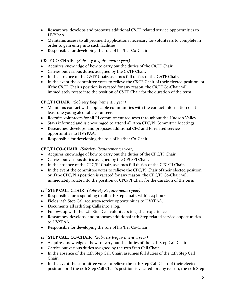- Researches, develops and proposes additional C&TF related service opportunities to HVYPAA.
- Maintains access to all pertinent applications necessary for volunteers to complete in order to gain entry into such facilities.
- Responsible for developing the role of his/her Co-Chair.

## **C&TF CO-CHAIR** *(Sobriety Requirement: 1 year)*

- Acquires knowledge of how to carry out the duties of the C&TF Chair.
- Carries out various duties assigned by the C&TF Chair.
- In the absence of the C&TF Chair, assumes full duties of the C&TF Chair.
- In the event the committee votes to relieve the C&TF Chair of their elected position, or if the C&TF Chair's position is vacated for any reason, the C&TF Co-Chair will immediately rotate into the position of C&TF Chair for the duration of the term.

## **CPC/PI CHAIR** *(Sobriety Requirement: 1 year)*

- Maintains contact with applicable communities with the contact information of at least one young alcoholic volunteer.
- Recruits volunteers for all PI commitment requests throughout the Hudson Valley.
- Stays informed and is encouraged to attend all Area CPC/PI Committee Meetings.
- Researches, develops, and proposes additional CPC and PI related service opportunities to HVYPAA.
- Responsible for developing the role of his/her Co-Chair.

## **CPC/PI CO-CHAIR** *(Sobriety Requirement: 1 year)*

- Acquires knowledge of how to carry out the duties of the CPC/PI Chair.
- Carries out various duties assigned by the CPC/PI Chair.
- In the absence of the CPC/PI Chair, assumes full duties of the CPC/PI Chair.
- In the event the committee votes to relieve the CPC/PI Chair of their elected position, or if the CPC/PI's position is vacated for any reason, the CPC/PI Co-Chair will immediately rotate into the position of CPC/PI Chair for the duration of the term.

## **12th STEP CALL CHAIR** *(Sobriety Requirement: 1 year)*

- Responsible for responding to all 12th Step emails within 24 hours.
- Fields 12th Step Call requests/service opportunities to HVYPAA.
- Documents all 12th Step Calls into a log.
- Follows up with the 12th Step Call volunteers to gather experience.
- Researches, develops, and proposes additional 12th Step related service opportunities to HVYPAA.
- Responsible for developing the role of his/her Co-Chair.

## **12th STEP CALL CO-CHAIR** *(Sobriety Requirement: 1 year)*

- Acquires knowledge of how to carry out the duties of the 12th Step Call Chair.
- Carries out various duties assigned by the 12th Step Call Chair.
- In the absence of the 12th Step Call Chair, assumes full duties of the 12th Step Call Chair.
- In the event the committee votes to relieve the 12th Step Call Chair of their elected position, or if the 12th Step Call Chair's position is vacated for any reason, the 12th Step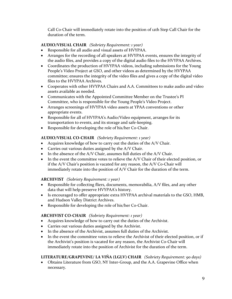Call Co-Chair will immediately rotate into the position of 12th Step Call Chair for the duration of the term.

## **AUDIO/VISUAL CHAIR** *(Sobriety Requirement: 1 year)*

- Responsible for all audio and visual assets of HVYPAA.
- Arranges for the recording of all speakers at HVYPAA events, ensures the integrity of the audio files, and provides a copy of the digital audio files to the HVYPAA Archives.
- Coordinates the production of HVYPAA videos, including submissions for the Young People's Video Project at GSO, and other videos as determined by the HVYPAA committee; ensures the integrity of the video files and gives a copy of the digital video files to the HVYPAA Archives.
- Cooperates with other HVYPAA Chairs and A.A. Committees to make audio and video assets available as needed.
- Communicates with the Appointed Committee Member on the Trustee's PI Committee, who is responsible for the Young People's Video Project.
- Arranges screenings of HVYPAA video assets at YPAA conventions or other appropriate events.
- Responsible for all of HVYPAA's Audio/Video equipment, arranges for its transportation to events, and its storage and safe-keeping.
- Responsible for developing the role of his/her Co-Chair.

## **AUDIO/VISUAL CO-CHAIR** *(Sobriety Requirement: 1 year)*

- Acquires knowledge of how to carry out the duties of the A/V Chair.
- Carries out various duties assigned by the A/V Chair.
- In the absence of the A/V Chair, assumes full duties of the A/V Chair.
- In the event the committee votes to relieve the A/V Chair of their elected position, or if the A/V Chair's position is vacated for any reason, the A/V Co-Chair will immediately rotate into the position of A/V Chair for the duration of the term.

## **ARCHIVIST** *(Sobriety Requirement: 1 year)*

- Responsible for collecting fliers, documents, memorabilia, A/V files, and any other data that will help preserve HVYPAA's history.
- Is encouraged to offer appropriate extra HVYPAA archival materials to the GSO, HMB, and Hudson Valley District Archives.
- Responsible for developing the role of his/her Co-Chair.

## **ARCHIVIST CO-CHAIR** *(Sobriety Requirement: 1 year)*

- Acquires knowledge of how to carry out the duties of the Archivist.
- Carries out various duties assigned by the Archivist.
- In the absence of the Archivist, assumes full duties of the Archivist.
- In the event the committee votes to relieve the Archivist of their elected position, or if the Archivist's position is vacated for any reason, the Archivist Co-Chair will immediately rotate into the position of Archivist for the duration of the term.

## **LITERATURE/GRAPEVINE/ LA VIÑA (LGLV) CHAIR** *(Sobriety Requirement: 90 days)*

 Obtains Literature from GSO, NY Inter-Group, and the A.A. Grapevine Office when necessary.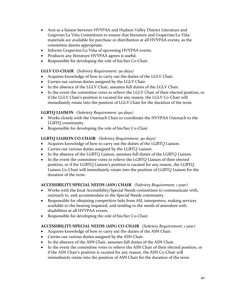- Acts as a liaison between HVYPAA and Hudson Valley District Literature and Grapvine/La Viña Committees to ensure that literature and Grapevine/La Viña materials are available for purchase or distribution at all HVYPAA events, as the committee deems appropriate.
- Informs Grapevine/La Viña of upcoming HVYPAA events.
- Produces any literature HVYPAA agrees is useful.
- Responsible for developing the role of his/her Co-Chair.

## **LGLV CO-CHAIR** *(Sobriety Requirement: 90 days)*

- Acquires knowledge of how to carry out the duties of the LGLV Chair.
- Carries out various duties assigned by the LGLV Chair.
- In the absence of the LGLV Chair, assumes full duties of the LGLV Chair.
- In the event the committee votes to relieve the LGLV Chair of their elected position, or if the LGLV Chair's position is vacated for any reason, the LGLV Co-Chair will immediately rotate into the position of LGLV Chair for the duration of the term.

## **LGBTQ LIAISON** *(Sobriety Requirement: 90 days)*

- Works closely with the Outreach Chair to coordinate the HVYPAA Outreach to the LGBTQ community.
- Responsible for developing the role of his/her Co-Chair.

## **LGBTQ LIAISON CO-CHAIR** *(Sobriety Requirement: 90 days)*

- Acquires knowledge of how to carry out the duties of the LGBTQ Liaison.
- Carries out various duties assigned by the LGBTQ Liaison.
- In the absence of the LGBTQ Liaison, assumes full duties of the LGBTQ Liaison.
- In the event the committee votes to relieve the LGBTQ Liaison of their elected position, or if the LGBTQ Liaison's position is vacated for any reason, the LGBTQ Liaison Co-Chair will immediately rotate into the position of LGBTQ Liaison for the duration of the term.

## **ACCESSIBILITY/SPECIAL NEEDS (ASN) CHAIR** *(Sobriety Requirement: 1 year)*

- Works with the local Accessibility/Special Needs committees to communicate with, outreach to, and accommodate to the Special Needs community.
- Responsible for obtaining competitive bids from ASL interpreters, making services available to the hearing impaired, and tending to the needs of attendees with disabilities at all HVYPAA events.
- Responsible for developing the role of his/her Co-Chair.

## **ACCESSIBILITY/SPECIAL NEEDS (ASN) CO-CHAIR** *(Sobriety Requirement: 1 year)*

- Acquires knowledge of how to carry out the duties of the ASN Chair.
- Carries out various duties assigned by the ASN Chair.
- In the absence of the ASN Chair, assumes full duties of the ASN Chair.
- In the event the committee votes to relieve the ASN Chair of their elected position, or if the ASN Chair's position is vacated for any reason, the ASN Co-Chair will immediately rotate into the position of ASN Chair for the duration of the term.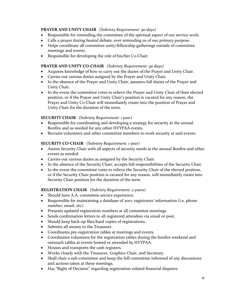## **PRAYER AND UNITY CHAIR** *(Sobriety Requirement: 90 days)*

- Responsible for reminding the committee of the spiritual aspect of our service work.
- Calls a prayer during heated debate, ever reminding us of our primary purpose.
- Helps coordinate all committee unity/fellowship gatherings outside of committee meetings and events.
- Responsible for developing the role of his/her Co-Chair.

## **PRAYER AND UNITY CO-CHAIR** *(Sobriety Requirement: 90 days)*

- Acquires knowledge of how to carry out the duties of the Prayer and Unity Chair.
- Carries out various duties assigned by the Prayer and Unity Chair.
- In the absence of the Prayer and Unity Chair, assumes full duties of the Prayer and Unity Chair.
- In the event the committee votes to relieve the Prayer and Unity Chair of their elected position, or if the Prayer and Unity Chair's position is vacated for any reason, the Prayer and Unity Co-Chair will immediately rotate into the position of Prayer and Unity Chair for the duration of the term.

## **SECURITY CHAIR** *(Sobriety Requirement: 1 year)*

- Responsible for coordinating and developing a strategy for security at the annual Bonfire and as needed for any other HVYPAA events.
- Recruits volunteers and other committee members to work security at said events.

## **SECURITY CO-CHAIR** *(Sobriety Requirement: 1 year)*

- Assists Security Chair with all aspects of security needs at the annual Bonfire and other events as needed.
- Carries out various duties as assigned by the Security Chair.
- In the absence of the Security Chair, accepts full responsibilities of the Security Chair.
- In the event the committee votes to relieve the Security Chair of the elected position, or if the Security Chair position is vacated for any reason, will immediately rotate into Security Chair position for the duration of the term.

## **REGISTRATION CHAIR** *(Sobriety Requirement: 2 years)*

- Should have A.A. committee service experience.
- Responsible for maintaining a database of 200+ registrants' information (i.e. phone number, email, etc).
- Presents updated registration numbers at all committee meetings.
- Sends confirmation letters to all registered attendees via email or post.
- Should keep back-up files/hard copies of registrations.
- Submits all money to the Treasurer.
- Coordinates pre-registration tables at meetings and events.
- Coordinates volunteers for the registration tables during the bonfire weekend and outreach tables at events hosted or attended by HVYPAA.
- Houses and transports the cash registers.
- Works closely with the Treasurer, Graphics Chair, and Secretary.
- Shall chair a sub-committee and keep the full committee informed of any discussions and actions taken at these meetings.
- Has "Right of Decision" regarding registration-related financial disputes.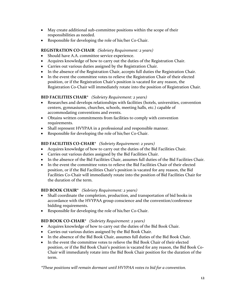- May create additional sub-committee positions within the scope of their responsibilities as needed.
- Responsible for developing the role of his/her Co-Chair.

## **REGISTRATION CO-CHAIR** *(Sobriety Requirement: 2 years)*

- Should have A.A. committee service experience.
- Acquires knowledge of how to carry out the duties of the Registration Chair.
- Carries out various duties assigned by the Registration Chair.
- In the absence of the Registration Chair, accepts full duties the Registration Chair.
- In the event the committee votes to relieve the Registration Chair of their elected position, or if the Registration Chair's position is vacated for any reason, the Registration Co-Chair will immediately rotate into the position of Registration Chair.

## **BID FACILITIES CHAIR\*** *(Sobriety Requirement: 2 years)*

- Researches and develops relationships with facilities (hotels, universities, convention centers, gymnasiums, churches, schools, meeting halls, etc.) capable of accommodating conventions and events.
- Obtains written commitments from facilities to comply with convention requirements.
- Shall represent HVYPAA in a professional and responsible manner.
- Responsible for developing the role of his/her Co-Chair.

## **BID FACILITIES CO-CHAIR\*** *(Sobriety Requirement: 2 years)*

- Acquires knowledge of how to carry out the duties of the Bid Facilities Chair.
- Carries out various duties assigned by the Bid Facilities Chair.
- In the absence of the Bid Facilities Chair, assumes full duties of the Bid Facilities Chair.
- In the event the committee votes to relieve the Bid Facilities Chair of their elected position, or if the Bid Facilities Chair's position is vacated for any reason, the Bid Facilities Co-Chair will immediately rotate into the position of Bid Facilities Chair for the duration of the term.

## **BID BOOK CHAIR\*** *(Sobriety Requirement: 2 years)*

- Shall coordinate the completion, production, and transportation of bid books in accordance with the HVYPAA group conscience and the convention/conference bidding requirements.
- Responsible for developing the role of his/her Co-Chair.

## **BID BOOK CO-CHAIR\*** *(Sobriety Requirement: 2 years)*

- Acquires knowledge of how to carry out the duties of the Bid Book Chair.
- Carries out various duties assigned by the Bid Book Chair.
- In the absence of the Bid Book Chair, assumes full duties of the Bid Book Chair.
- In the event the committee votes to relieve the Bid Book Chair of their elected position, or if the Bid Book Chair's position is vacated for any reason, the Bid Book Co-Chair will immediately rotate into the Bid Book Chair position for the duration of the term.

*\*These positions will remain dormant until HVYPAA votes to bid for a convention.*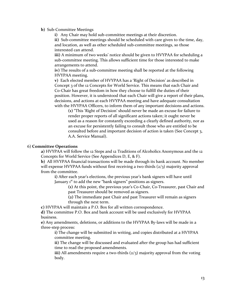#### **b)** Sub-Committee Meetings

**i)** Any Chair may hold sub-committee meetings at their discretion.

**ii)** Sub-committee meetings should be scheduled with care given to the time, day, and location, as well as other scheduled sub-committee meetings, so those interested can attend.

**iii**) A minimum of two weeks' notice should be given to HVYPAA for scheduling a sub-committee meeting. This allows sufficient time for those interested to make arrangements to attend.

**iv)** The results of a sub-committee meeting shall be reported at the following HVYPAA meeting.

**v)** Each elected member of HVYPAA has a 'Right of Decision' as described in Concept 3 of the 12 Concepts for World Service. This means that each Chair and Co-Chair has great freedom in how they choose to fulfill the duties of their position. However, it is understood that each Chair will give a report of their plans, decisions, and actions at each HVYPAA meeting and have adequate consultation with the HVYPAA Officers, to inform them of any important decisions and actions.

**(1)** "This 'Right of Decision' should never be made an excuse for failure to render proper reports of all significant actions taken; it ought never be used as a reason for constantly exceeding a clearly defined authority, nor as an excuse for persistently failing to consult those who are entitled to be consulted before and important decision of action is taken (See Concept 3, A.A. Service Manual).

#### 6) **Committee Operations**

**a)** HVYPAA will follow the 12 Steps and 12 Traditions of Alcoholics Anonymous and the 12 Concepts for World Service (See Appendices D, E, & F).

**b)** All HVYPAA financial transactions will be made through its bank account. No member will expense HVYPAA funds without first receiving a two thirds  $\left(\frac{2}{3}\right)$  majority approval from the committee.

**i)** After each year's elections, the previous year's bank signers will have until January 1<sup>st</sup> to add the new "bank signers" positions as signers.

> **(1)** At this point, the previous year's Co-Chair, Co-Treasurer, past Chair and past Treasurer should be removed as signers.

**(2)** The immediate past Chair and past Treasurer will remain as signers through the next term.

**c)** HVYPAA will maintain a P.O. Box for all written correspondence.

**d)** The committee P.O. Box and bank account will be used exclusively for HVYPAA business.

**e)** Any amendments, deletions, or additions to the HVYPAA By-laws will be made in a three-step process:

**i)** The change will be submitted in writing, and copies distributed at a HVYPAA committee meeting.

**ii)** The change will be discussed and evaluated after the group has had sufficient time to read the proposed amendments.

**iii**) All amendments require a two-thirds (2/3) majority approval from the voting body.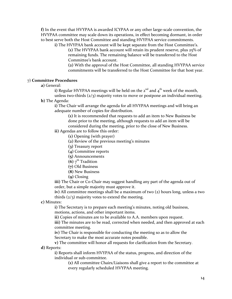**f)** In the event that HVYPAA is awarded ICYPAA or any other large-scale convention, the HVYPAA committee may scale down its operations, in effect becoming dormant, in order to best serve both the Host Committee and standing HVYPAA service commitments.

**i)** The HVYPAA bank account will be kept separate from the Host Committee's. **(1)** The HVYPAA bank account will retain its prudent reserve, plus 25% of remaining funds. The remaining balance will be transferred to the Host Committee's bank account.

**(2)** With the approval of the Host Committee, all standing HVYPAA service commitments will be transferred to the Host Committee for that host year.

## 7) **Committee Procedures**

**a)** General:

**i**) Regular HVYPAA meetings will be held on the  $2<sup>nd</sup>$  and  $4<sup>th</sup>$  week of the month, unless two-thirds  $\left(\frac{2}{3}\right)$  majority votes to move or postpone an individual meeting.

**b)** The Agenda:

**i)** The Chair will arrange the agenda for all HVYPAA meetings and will bring an adequate number of copies for distribution.

**(1)** It is recommended that requests to add an item to New Business be done prior to the meeting, although requests to add an item will be considered during the meeting, prior to the close of New Business.

- **ii)** Agendas are to follow this order:
	- **(1)** Opening (with prayer)
	- **(2)** Review of the previous meeting's minutes
	- **(3)** Treasury report
	- **(4)** Committee reports
	- **(5)** Announcements
	- **(6)**  $7^{\text{th}}$  Tradition
	- **(7)** Old Business
	- **(8)** New Business
	- **(9)** Closing

**iii)** The Chair or Co-Chair may suggest handling any part of the agenda out of order, but a simple majority must approve it.

**iv)** All committee meetings shall be a maximum of two (2) hours long, unless a two thirds  $(2/3)$  majority votes to extend the meeting.

**c)** Minutes:

**i)** The Secretary is to prepare each meeting's minutes, noting old business, motions, actions, and other important items.

**ii)** Copies of minutes are to be available to A.A. members upon request.

iii) The minutes are to be read, corrected when needed, and then approved at each committee meeting.

**iv)** The Chair is responsible for conducting the meeting so as to allow the Secretary to make the most accurate notes possible.

**v)** The committee will honor all requests for clarification from the Secretary. **d)** Reports:

**i)** Reports shall inform HVYPAA of the status, progress, and direction of the individual or sub-committee.

**(1)** All committee Chairs/Liaisons shall give a report to the committee at every regularly scheduled HVYPAA meeting.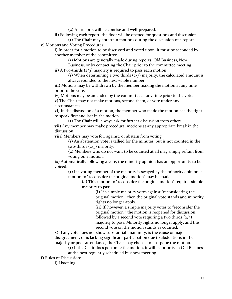**(2)** All reports will be concise and well-prepared.

**ii)** Following each report, the floor will be opened for questions and discussion.

**(1)** The Chair may entertain motions during the discussion of a report. **e)** Motions and Voting Procedures:

**i)** In order for a motion to be discussed and voted upon, it must be seconded by another member of the committee.

**(1)** Motions are generally made during reports, Old Business, New Business, or by contacting the Chair prior to the committee meeting.

**ii)** A two-thirds (2/3) majority is required to pass each motion.

**(1)** When determining a two thirds (2/3) majority, the calculated amount is always rounded to the next whole number.

**iii)** Motions may be withdrawn by the member making the motion at any time prior to the vote.

**iv)** Motions may be amended by the committee at any time prior to the vote.

**v)** The Chair may not make motions, second them, or vote under any circumstances.

**vi)** In the discussion of a motion, the member who made the motion has the right to speak first and last in the motion.

**(1)** The Chair will always ask for further discussion from others.

**vii)** Any member may make procedural motions at any appropriate break in the discussion.

**viii)** Members may vote for, against, or abstain from voting.

**(1)** An abstention vote is tallied for the minutes, but is not counted in the two-thirds  $\left(\frac{2}{3}\right)$  majority.

**(2)** Members who do not want to be counted at all may simply refrain from voting on a motion.

**ix)** Automatically following a vote, the minority opinion has an opportunity to be voiced.

**(1)** If a voting member of the majority is swayed by the minority opinion, a motion to "reconsider the original motion" may be made.

**(a)** This motion to "reconsider the original motion" requires simple majority to pass.

> **(i)** If a simple majority votes against "reconsidering the original motion," then the original vote stands and minority rights no longer apply.

**(ii)** If, however, a simple majority votes to "reconsider the original motion," the motion is reopened for discussion, followed by a second vote requiring a two thirds  $\left(\frac{2}{3}\right)$ majority to pass. Minority rights no longer apply, and the second vote on the motion stands as counted.

**x)** If any vote does not show substantial unanimity, is the cause of major disagreement, or is lacking significant participation due to abstentions in the majority or poor attendance, the Chair may choose to postpone the motion.

**(1)** If the Chair does postpone the motion, it will be priority in Old Business at the next regularly scheduled business meeting.

**f)** Rules of Discussion:

**i)** Listening: